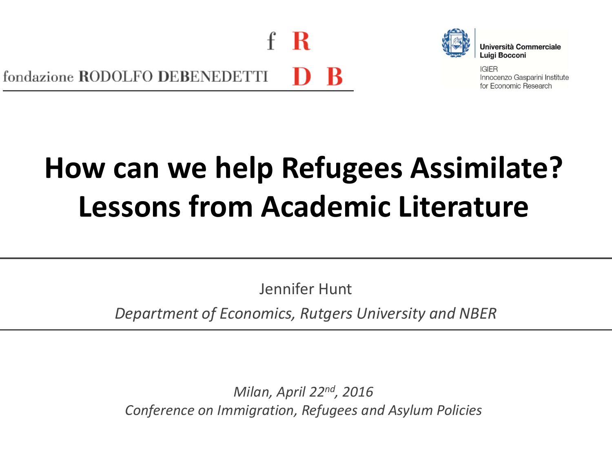- R fondazione RODOLFO DEBENEDETTI



**Università Commerciale** Luigi Bocconi

**IGIER** Innocenzo Gasparini Institute for Economic Research

# **How can we help Refugees Assimilate? Lessons from Academic Literature**

Jennifer Hunt

*Department of Economics, Rutgers University and NBER*

*Milan, April 22nd, 2016 Conference on Immigration, Refugees and Asylum Policies*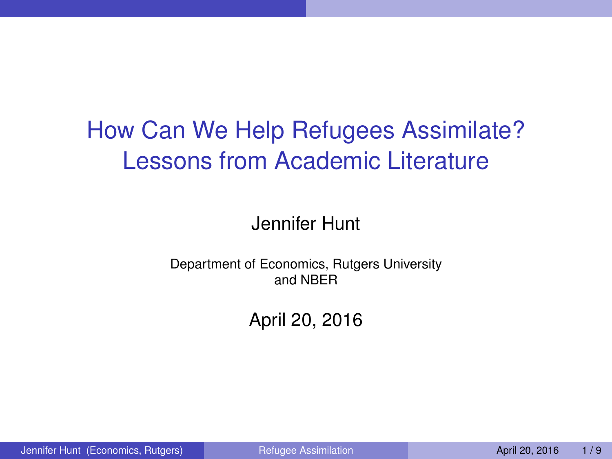## How Can We Help Refugees Assimilate? Lessons from Academic Literature

#### Jennifer Hunt

#### Department of Economics, Rutgers University and NBER

### <span id="page-1-0"></span>April 20, 2016

Jennifer Hunt (Economics, Rutgers) [Refugee Assimilation](#page-9-0) April 20, 2016 1/9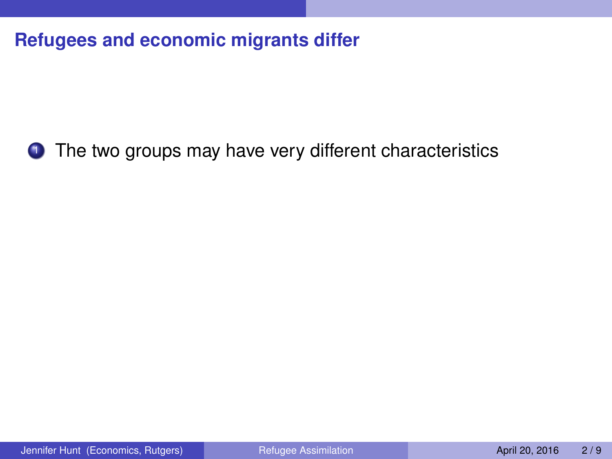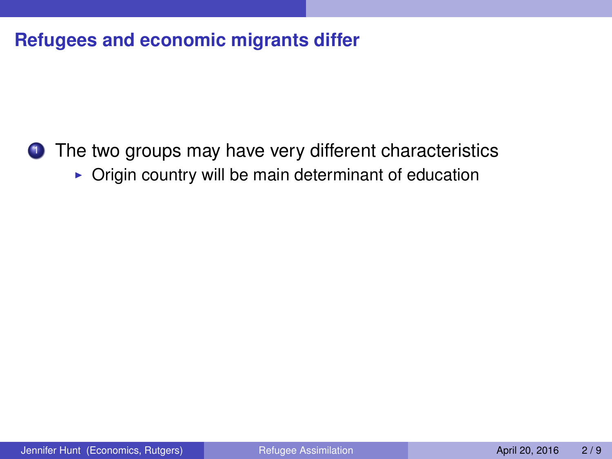**1** The two groups may have very different characteristics

 $\triangleright$  Origin country will be main determinant of education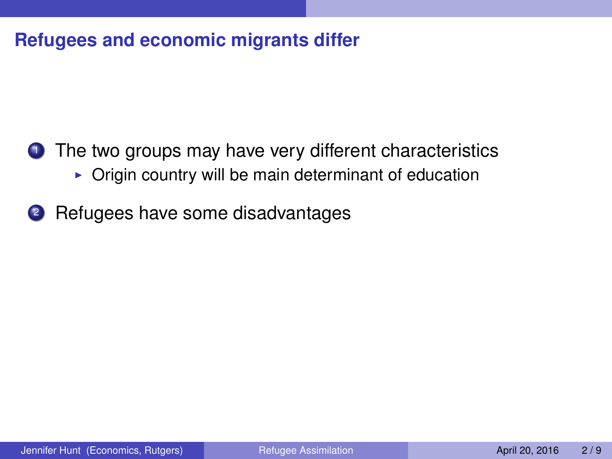- <sup>1</sup> The two groups may have very different characteristics
	- $\triangleright$  Origin country will be main determinant of education
- <sup>2</sup> Refugees have some disadvantages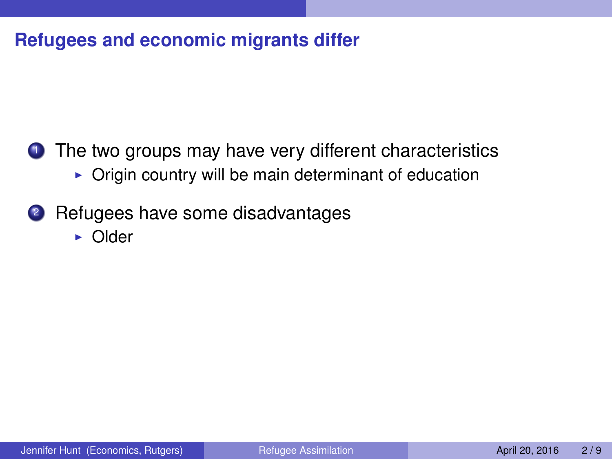- <sup>1</sup> The two groups may have very different characteristics
	- $\triangleright$  Origin country will be main determinant of education
- <sup>2</sup> Refugees have some disadvantages
	- $\triangleright$  Older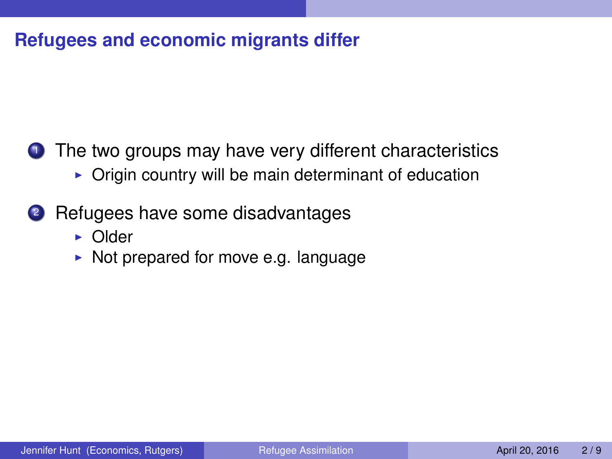- $\triangleright$  Origin country will be main determinant of education
- <sup>2</sup> Refugees have some disadvantages
	- $\triangleright$  Older
	- $\triangleright$  Not prepared for move e.g. language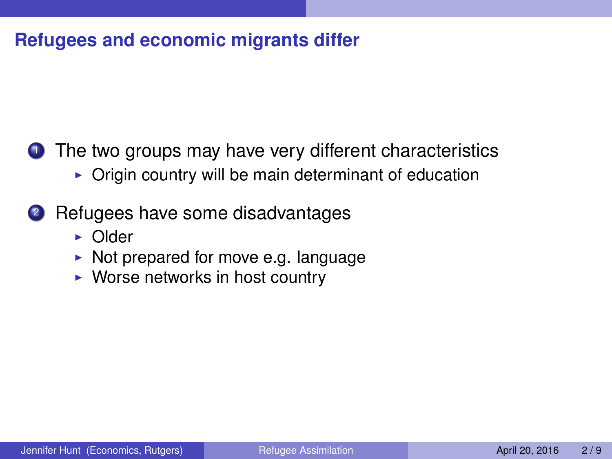- $\triangleright$  Origin country will be main determinant of education
- <sup>2</sup> Refugees have some disadvantages
	- $\triangleright$  Older
	- $\triangleright$  Not prepared for move e.g. language
	- $\triangleright$  Worse networks in host country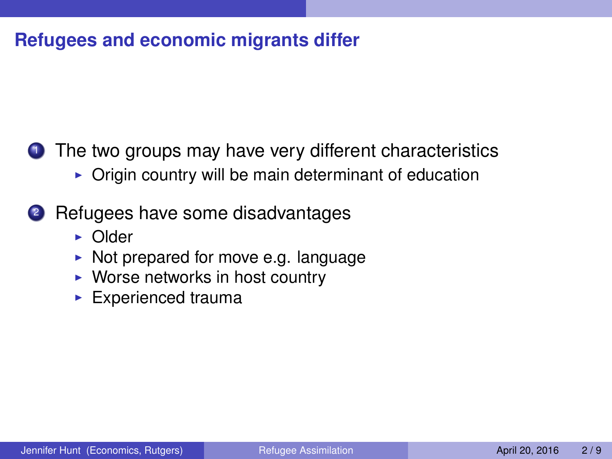- $\triangleright$  Origin country will be main determinant of education
- <sup>2</sup> Refugees have some disadvantages
	- $\triangleright$  Older
	- $\triangleright$  Not prepared for move e.g. language
	- $\triangleright$  Worse networks in host country
	- $\blacktriangleright$  Experienced trauma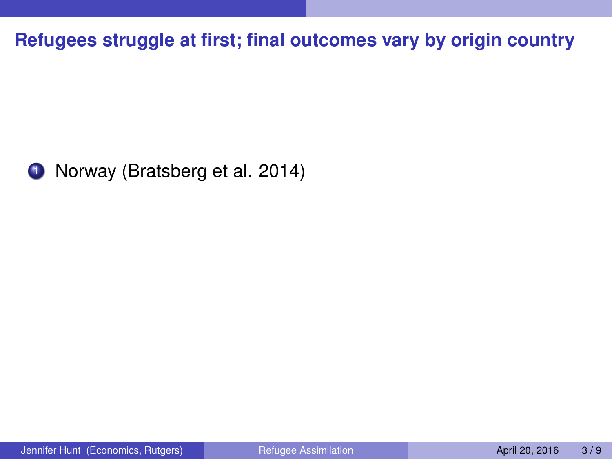<span id="page-9-0"></span>

1 Norway (Bratsberg et al. 2014)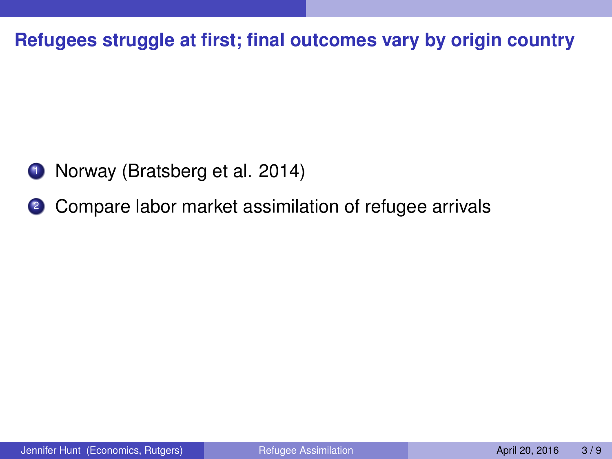- **1** Norway (Bratsberg et al. 2014)
- <sup>2</sup> Compare labor market assimilation of refugee arrivals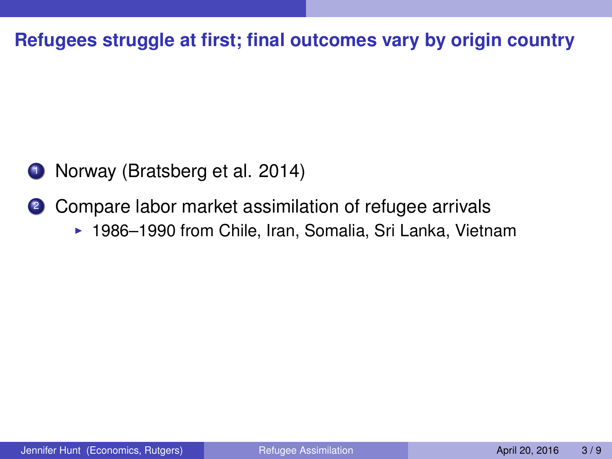- **1** Norway (Bratsberg et al. 2014)
- <sup>2</sup> Compare labor market assimilation of refugee arrivals
	- ▶ 1986–1990 from Chile, Iran, Somalia, Sri Lanka, Vietnam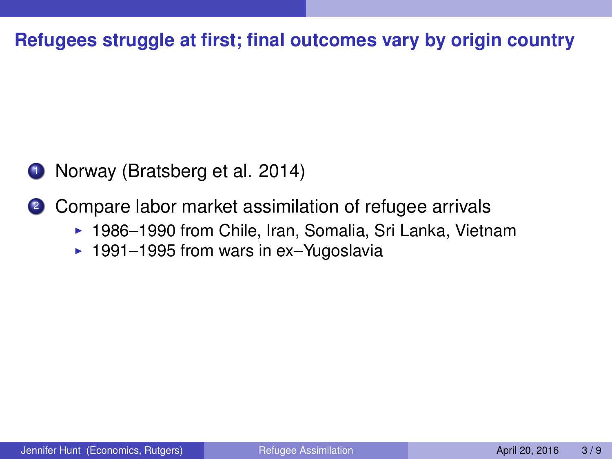- **1** Norway (Bratsberg et al. 2014)
- <sup>2</sup> Compare labor market assimilation of refugee arrivals
	- ▶ 1986–1990 from Chile, Iran, Somalia, Sri Lanka, Vietnam
	- $\blacktriangleright$  1991–1995 from wars in ex–Yugoslavia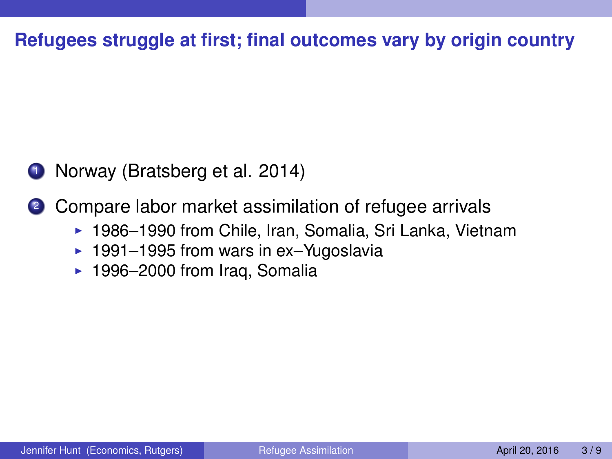**1** Norway (Bratsberg et al. 2014)

2 Compare labor market assimilation of refugee arrivals

- ▶ 1986–1990 from Chile, Iran, Somalia, Sri Lanka, Vietnam
- $\blacktriangleright$  1991–1995 from wars in ex–Yugoslavia
- $\blacktriangleright$  1996–2000 from Iraq, Somalia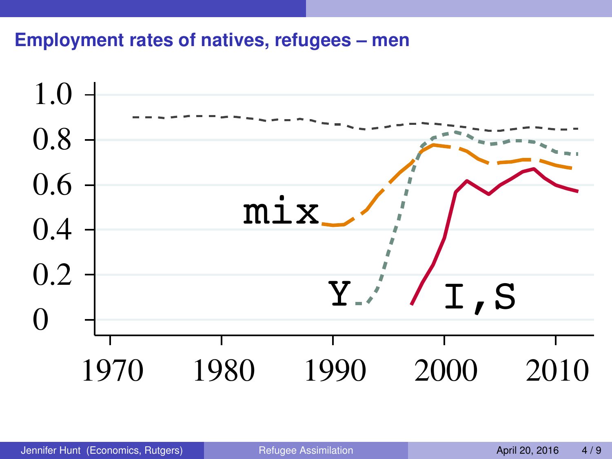#### **Employment rates of natives, refugees – men**

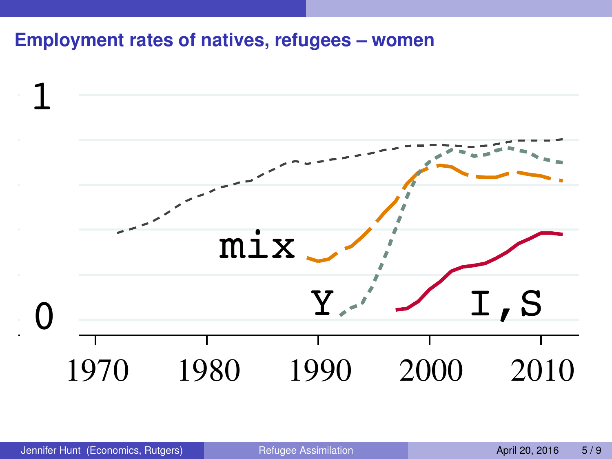#### **Employment rates of natives, refugees – women**

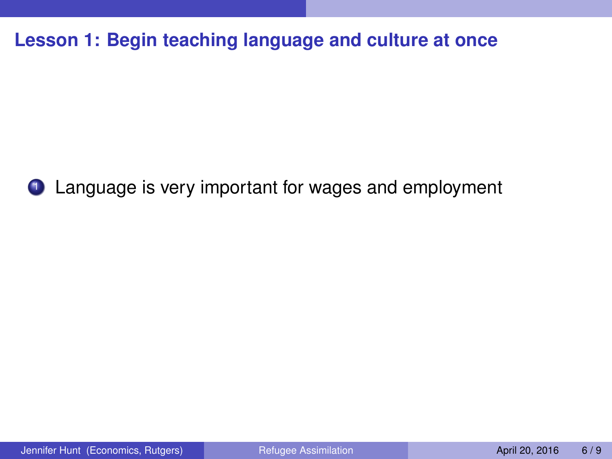**Lesson 1: Begin teaching language and culture at once**



<sup>1</sup> Language is very important for wages and employment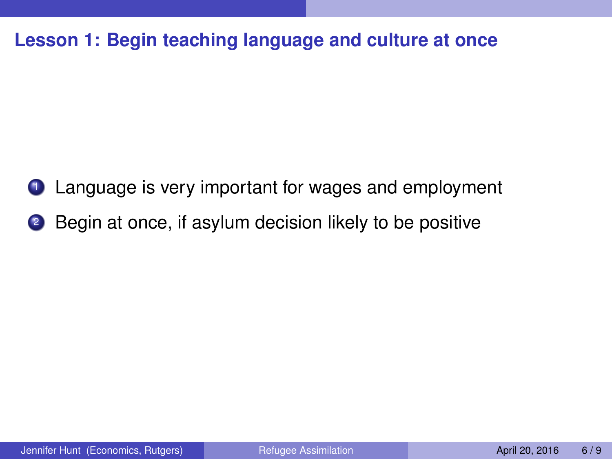**Lesson 1: Begin teaching language and culture at once**

- **1** Language is very important for wages and employment
- 2 Begin at once, if asylum decision likely to be positive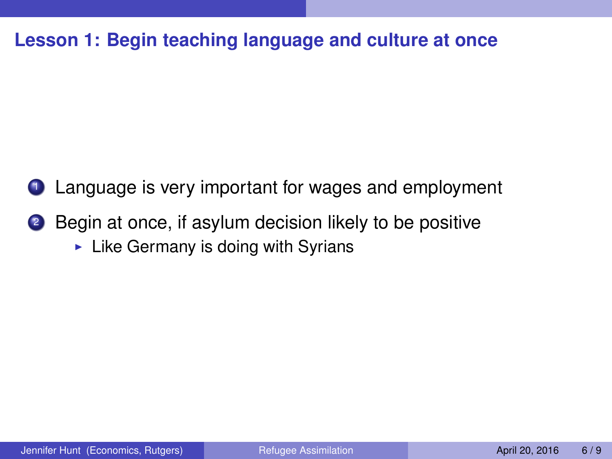#### **Lesson 1: Begin teaching language and culture at once**

- **1** Language is very important for wages and employment
- 2 Begin at once, if asylum decision likely to be positive
	- $\blacktriangleright$  Like Germany is doing with Syrians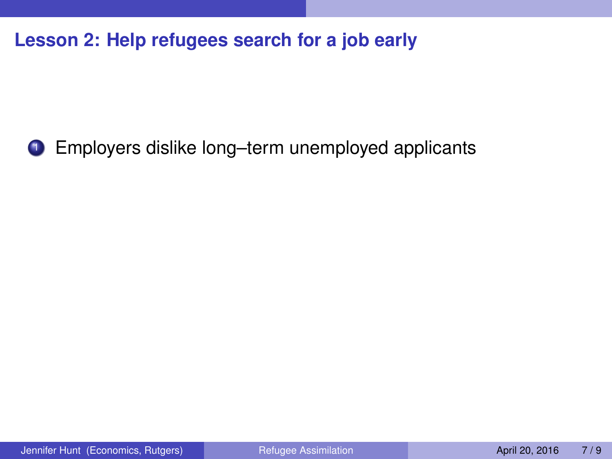**1** Employers dislike long–term unemployed applicants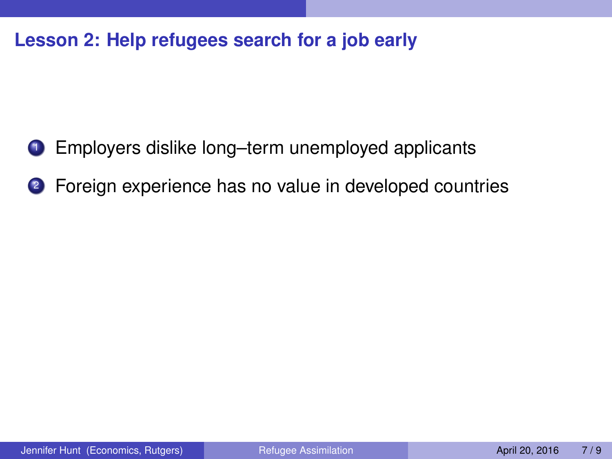- **1** Employers dislike long–term unemployed applicants
- <sup>2</sup> Foreign experience has no value in developed countries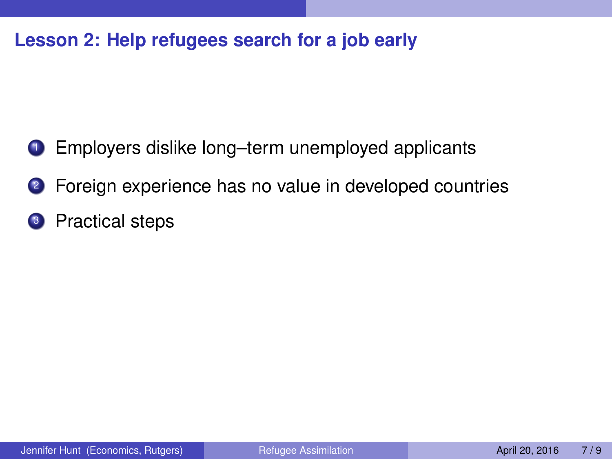- **1** Employers dislike long–term unemployed applicants
- <sup>2</sup> Foreign experience has no value in developed countries
- <sup>3</sup> Practical steps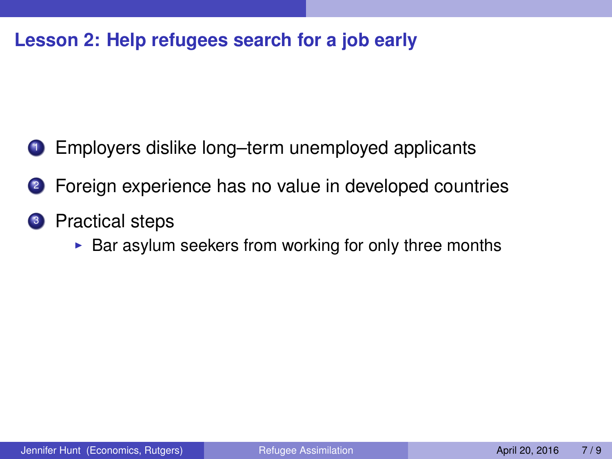- **1** Employers dislike long–term unemployed applicants
- <sup>2</sup> Foreign experience has no value in developed countries
- <sup>3</sup> Practical steps
	- $\triangleright$  Bar asylum seekers from working for only three months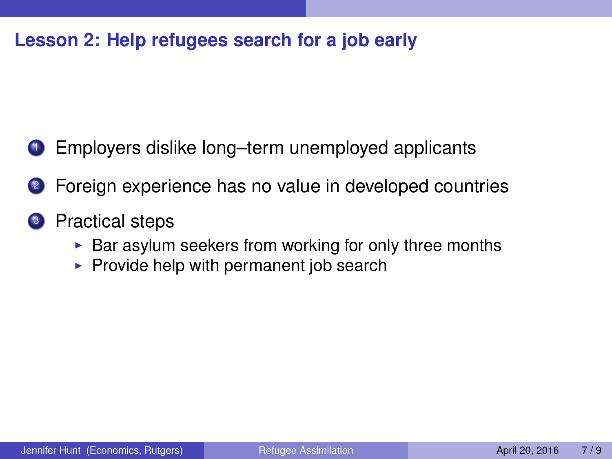- <sup>1</sup> Employers dislike long–term unemployed applicants
- <sup>2</sup> Foreign experience has no value in developed countries
- <sup>3</sup> Practical steps
	- $\triangleright$  Bar asylum seekers from working for only three months
	- $\triangleright$  Provide help with permanent job search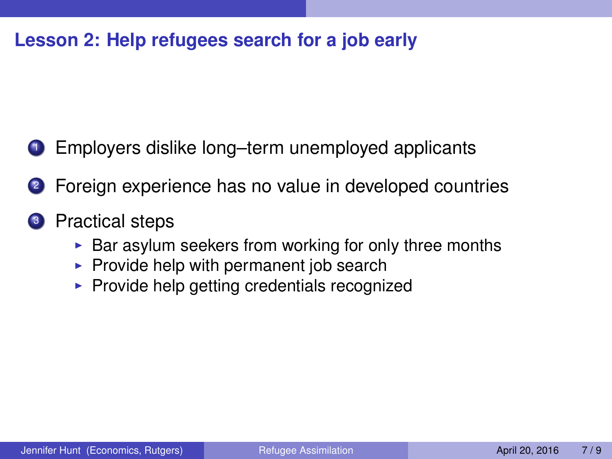- <sup>1</sup> Employers dislike long–term unemployed applicants
- <sup>2</sup> Foreign experience has no value in developed countries
- <sup>3</sup> Practical steps
	- $\triangleright$  Bar asylum seekers from working for only three months
	- $\triangleright$  Provide help with permanent job search
	- $\blacktriangleright$  Provide help getting credentials recognized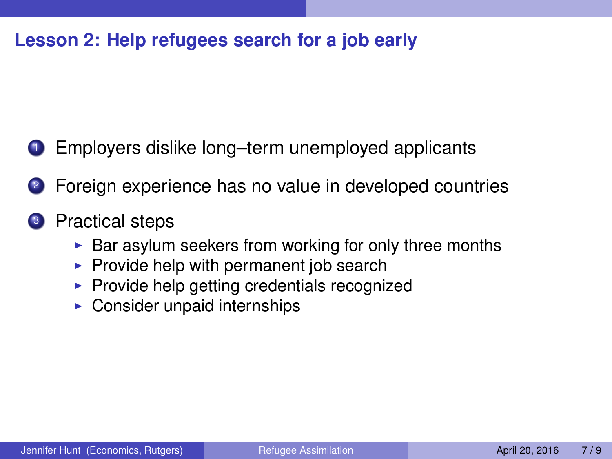- <sup>1</sup> Employers dislike long–term unemployed applicants
- <sup>2</sup> Foreign experience has no value in developed countries
- <sup>3</sup> Practical steps
	- $\triangleright$  Bar asylum seekers from working for only three months
	- $\triangleright$  Provide help with permanent job search
	- $\blacktriangleright$  Provide help getting credentials recognized
	- $\triangleright$  Consider unpaid internships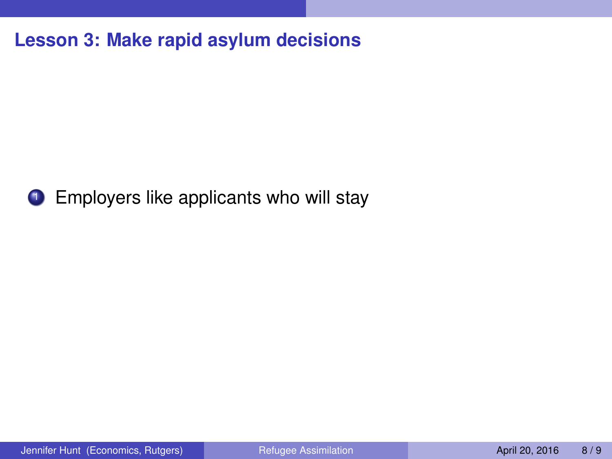**Lesson 3: Make rapid asylum decisions**



**1** Employers like applicants who will stay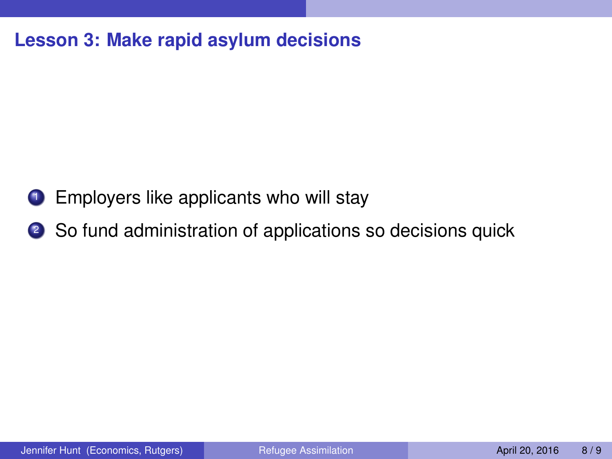#### **Lesson 3: Make rapid asylum decisions**

- **1** Employers like applicants who will stay
- <sup>2</sup> So fund administration of applications so decisions quick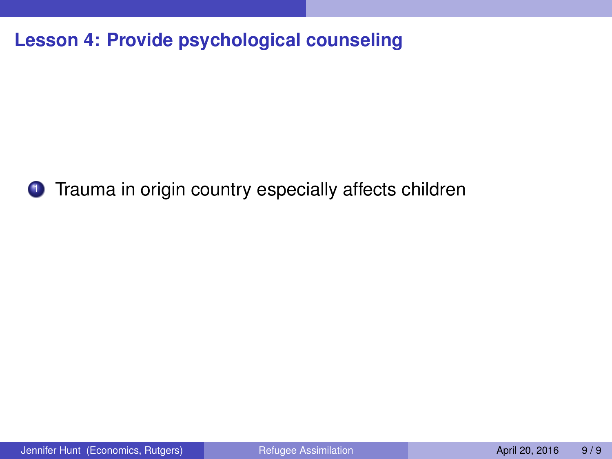**Lesson 4: Provide psychological counseling**



**1** Trauma in origin country especially affects children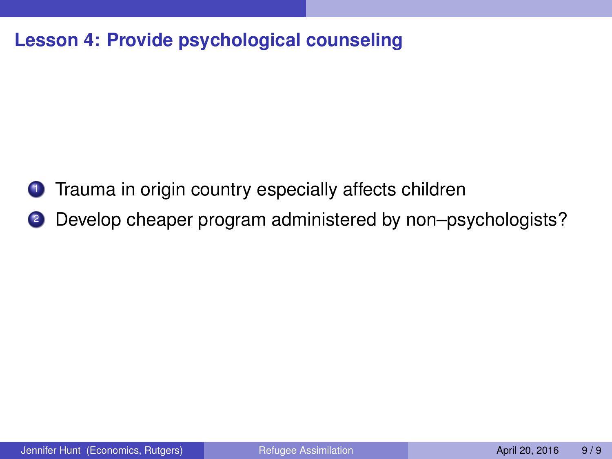#### **Lesson 4: Provide psychological counseling**

- **1** Trauma in origin country especially affects children
- 2 Develop cheaper program administered by non–psychologists?